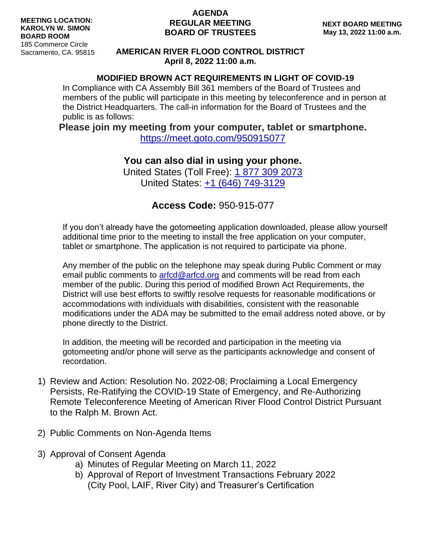### **AGENDA REGULAR MEETING BOARD OF TRUSTEES**

### **AMERICAN RIVER FLOOD CONTROL DISTRICT April 8, 2022 11:00 a.m.**

### **MODIFIED BROWN ACT REQUIREMENTS IN LIGHT OF COVID-19**

In Compliance with CA Assembly Bill 361 members of the Board of Trustees and members of the public will participate in this meeting by teleconference and in person at the District Headquarters. The call-in information for the Board of Trustees and the public is as follows:

**Please join my meeting from your computer, tablet or smartphone.**

<https://meet.goto.com/950915077>

## **You can also dial in using your phone.**

United States (Toll Free): [1 877 309 2073](tel:+18773092073,,950915077) United States: [+1 \(646\) 749-3129](tel:+16467493129,,950915077)

# **Access Code:** 950-915-077

If you don't already have the gotomeeting application downloaded, please allow yourself additional time prior to the meeting to install the free application on your computer, tablet or smartphone. The application is not required to participate via phone.

Any member of the public on the telephone may speak during Public Comment or may email public comments to [arfcd@arfcd.org](mailto:arfcd@arfcd.org) and comments will be read from each member of the public. During this period of modified Brown Act Requirements, the District will use best efforts to swiftly resolve requests for reasonable modifications or accommodations with individuals with disabilities, consistent with the reasonable modifications under the ADA may be submitted to the email address noted above, or by phone directly to the District.

In addition, the meeting will be recorded and participation in the meeting via gotomeeting and/or phone will serve as the participants acknowledge and consent of recordation.

- 1) Review and Action: Resolution No. 2022-08; Proclaiming a Local Emergency Persists, Re-Ratifying the COVID-19 State of Emergency, and Re-Authorizing Remote Teleconference Meeting of American River Flood Control District Pursuant to the Ralph M. Brown Act.
- 2) Public Comments on Non-Agenda Items
- 3) Approval of Consent Agenda
	- a) Minutes of Regular Meeting on March 11, 2022
	- b) Approval of Report of Investment Transactions February 2022 (City Pool, LAIF, River City) and Treasurer's Certification